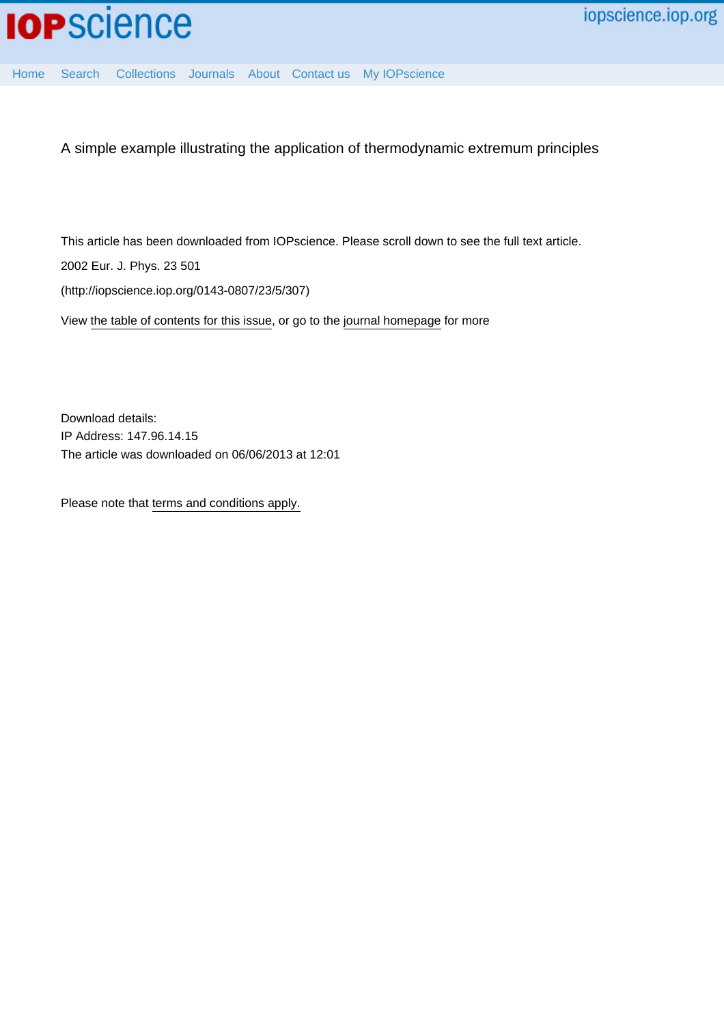

[Home](http://iopscience.iop.org/) [Search](http://iopscience.iop.org/search) [Collections](http://iopscience.iop.org/collections) [Journals](http://iopscience.iop.org/journals) [About](http://iopscience.iop.org/page/aboutioppublishing) [Contact us](http://iopscience.iop.org/contact) [My IOPscience](http://iopscience.iop.org/myiopscience)

A simple example illustrating the application of thermodynamic extremum principles

This article has been downloaded from IOPscience. Please scroll down to see the full text article.

2002 Eur. J. Phys. 23 501

(http://iopscience.iop.org/0143-0807/23/5/307)

View [the table of contents for this issue](http://iopscience.iop.org/0143-0807/23/5), or go to the [journal homepage](http://iopscience.iop.org/0143-0807) for more

Download details: IP Address: 147.96.14.15 The article was downloaded on 06/06/2013 at 12:01

Please note that [terms and conditions apply.](http://iopscience.iop.org/page/terms)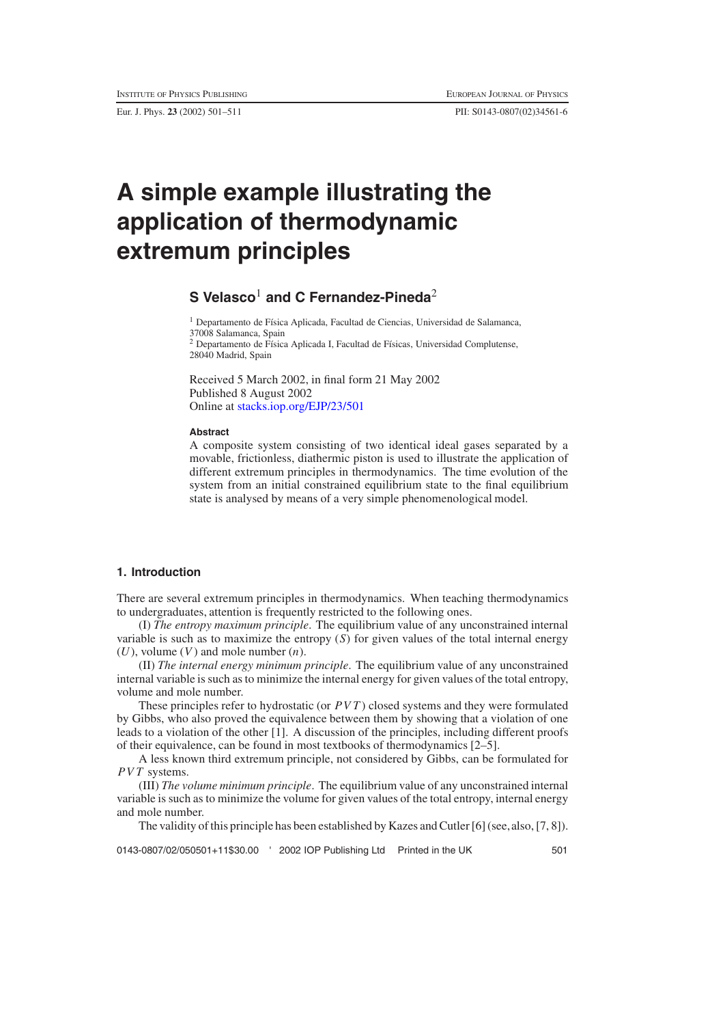Eur. J. Phys. **23** (2002) 501–511 PII: S0143-0807(02)34561-6

# **A simple example illustrating the application of thermodynamic extremum principles**

# **S Velasco**<sup>1</sup> **and C Fernandez-Pineda**<sup>2</sup>

<sup>1</sup> Departamento de Física Aplicada, Facultad de Ciencias, Universidad de Salamanca, 37008 Salamanca, Spain <sup>2</sup> Departamento de Física Aplicada I, Facultad de Físicas, Universidad Complutense, 28040 Madrid, Spain

Received 5 March 2002, in final form 21 May 2002 Published 8 August 2002 Online at [stacks.iop.org/EJP/23/501](http://stacks.iop.org/EJP/23/501)

#### **Abstract**

A composite system consisting of two identical ideal gases separated by a movable, frictionless, diathermic piston is used to illustrate the application of different extremum principles in thermodynamics. The time evolution of the system from an initial constrained equilibrium state to the final equilibrium state is analysed by means of a very simple phenomenological model.

# **1. Introduction**

There are several extremum principles in thermodynamics. When teaching thermodynamics to undergraduates, attention is frequently restricted to the following ones.

(I) *The entropy maximum principle*. The equilibrium value of any unconstrained internal variable is such as to maximize the entropy  $(S)$  for given values of the total internal energy  $(U)$ , volume  $(V)$  and mole number  $(n)$ .

(II) *The internal energy minimum principle*. The equilibrium value of any unconstrained internal variable is such as to minimize the internal energy for given values of the total entropy, volume and mole number.

These principles refer to hydrostatic (or *PVT* ) closed systems and they were formulated by Gibbs, who also proved the equivalence between them by showing that a violation of one leads to a violation of the other [1]. A discussion of the principles, including different proofs of their equivalence, can be found in most textbooks of thermodynamics [2–5].

A less known third extremum principle, not considered by Gibbs, can be formulated for *PVT* systems.

(III) *The volume minimum principle*. The equilibrium value of any unconstrained internal variable is such as to minimize the volume for given values of the total entropy, internal energy and mole number.

The validity of this principle has been established by Kazes and Cutler [6] (see, also, [7, 8]).

0143-0807/02/050501+11\$30.00 ' 2002 IOP Publishing Ltd Printed in the UK 501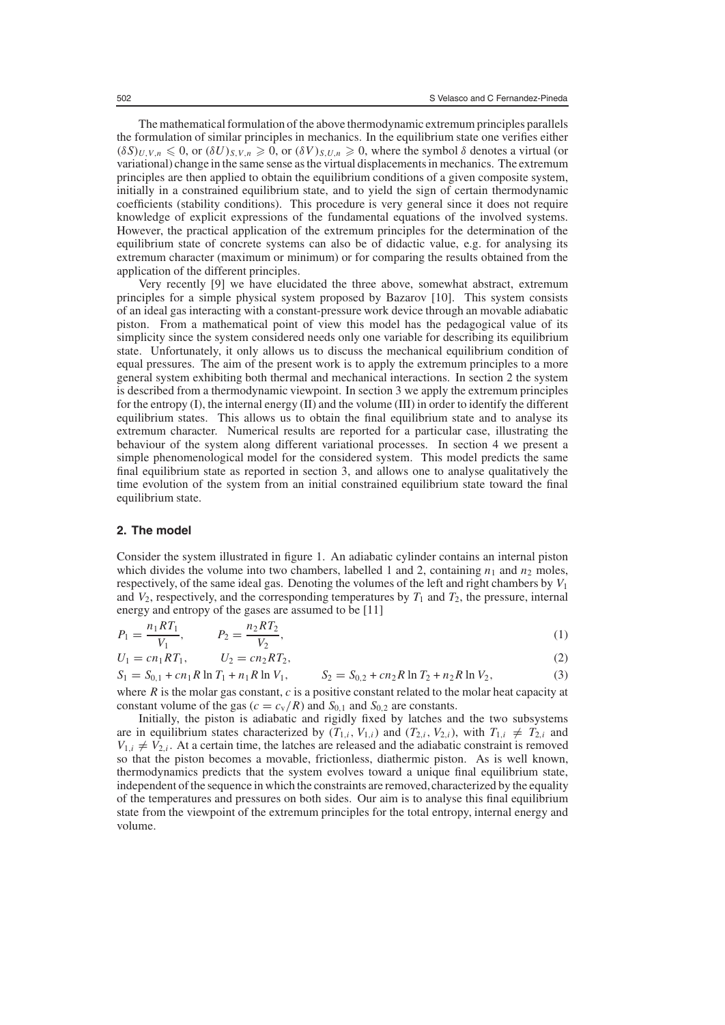The mathematical formulation of the above thermodynamic extremum principles parallels the formulation of similar principles in mechanics. In the equilibrium state one verifies either  $(\delta S)_{U,V,n} \leq 0$ , or  $(\delta U)_{S,V,n} \geq 0$ , or  $(\delta V)_{S,U,n} \geq 0$ , where the symbol  $\delta$  denotes a virtual (or variational) change in the same sense as the virtual displacements in mechanics. The extremum principles are then applied to obtain the equilibrium conditions of a given composite system, initially in a constrained equilibrium state, and to yield the sign of certain thermodynamic coefficients (stability conditions). This procedure is very general since it does not require knowledge of explicit expressions of the fundamental equations of the involved systems. However, the practical application of the extremum principles for the determination of the equilibrium state of concrete systems can also be of didactic value, e.g. for analysing its extremum character (maximum or minimum) or for comparing the results obtained from the application of the different principles.

Very recently [9] we have elucidated the three above, somewhat abstract, extremum principles for a simple physical system proposed by Bazarov [10]. This system consists of an ideal gas interacting with a constant-pressure work device through an movable adiabatic piston. From a mathematical point of view this model has the pedagogical value of its simplicity since the system considered needs only one variable for describing its equilibrium state. Unfortunately, it only allows us to discuss the mechanical equilibrium condition of equal pressures. The aim of the present work is to apply the extremum principles to a more general system exhibiting both thermal and mechanical interactions. In section 2 the system is described from a thermodynamic viewpoint. In section 3 we apply the extremum principles for the entropy  $(I)$ , the internal energy  $(II)$  and the volume  $(III)$  in order to identify the different equilibrium states. This allows us to obtain the final equilibrium state and to analyse its extremum character. Numerical results are reported for a particular case, illustrating the behaviour of the system along different variational processes. In section 4 we present a simple phenomenological model for the considered system. This model predicts the same final equilibrium state as reported in section 3, and allows one to analyse qualitatively the time evolution of the system from an initial constrained equilibrium state toward the final equilibrium state.

#### **2. The model**

Consider the system illustrated in figure 1. An adiabatic cylinder contains an internal piston which divides the volume into two chambers, labelled 1 and 2, containing  $n_1$  and  $n_2$  moles, respectively, of the same ideal gas. Denoting the volumes of the left and right chambers by *V*<sup>1</sup> and  $V_2$ , respectively, and the corresponding temperatures by  $T_1$  and  $T_2$ , the pressure, internal energy and entropy of the gases are assumed to be [11]

$$
P_1 = \frac{n_1 R T_1}{V_1}, \qquad P_2 = \frac{n_2 R T_2}{V_2}, \tag{1}
$$

$$
U_1 = cn_1RT_1, \qquad U_2 = cn_2RT_2,\tag{2}
$$

$$
S_1 = S_{0,1} + cn_1 R \ln T_1 + n_1 R \ln V_1, \qquad S_2 = S_{0,2} + cn_2 R \ln T_2 + n_2 R \ln V_2,\tag{3}
$$

where *R* is the molar gas constant, *c* is a positive constant related to the molar heat capacity at constant volume of the gas ( $c = c_v/R$ ) and  $S_{0,1}$  and  $S_{0,2}$  are constants.

Initially, the piston is adiabatic and rigidly fixed by latches and the two subsystems are in equilibrium states characterized by  $(T_{1,i}, V_{1,i})$  and  $(T_{2,i}, V_{2,i})$ , with  $T_{1,i} \neq T_{2,i}$  and  $V_{1,i} \neq V_{2,i}$ . At a certain time, the latches are released and the adiabatic constraint is removed so that the piston becomes a movable, frictionless, diathermic piston. As is well known, thermodynamics predicts that the system evolves toward a unique final equilibrium state, independent of the sequence in which the constraints are removed, characterized by the equality of the temperatures and pressures on both sides. Our aim is to analyse this final equilibrium state from the viewpoint of the extremum principles for the total entropy, internal energy and volume.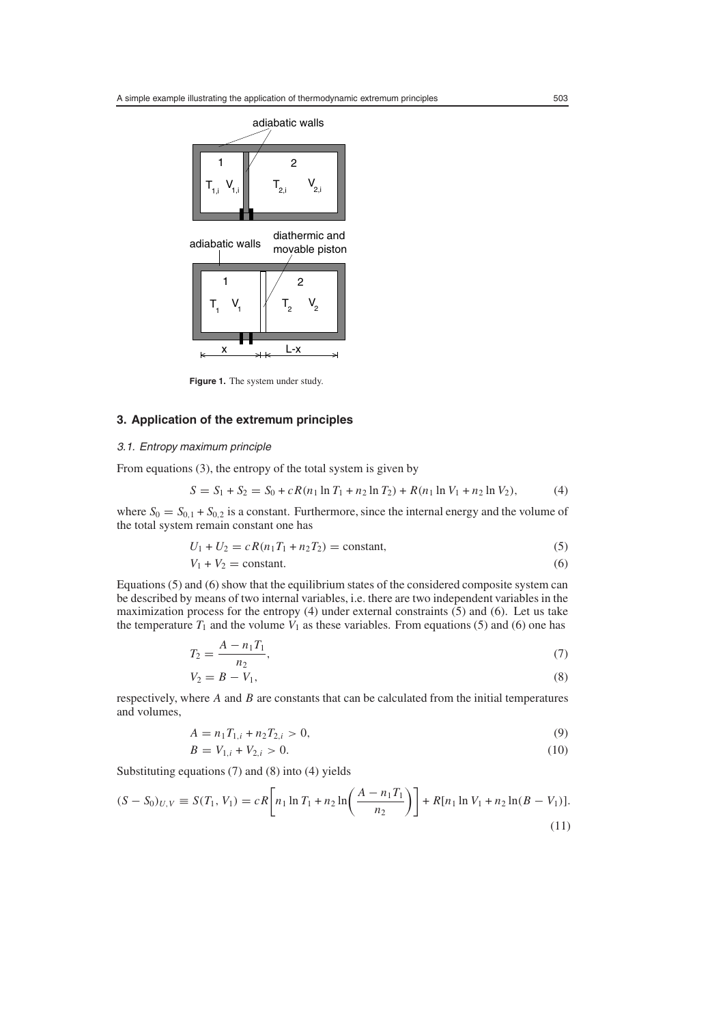

**Figure 1.** The system under study.

### **3. Application of the extremum principles**

# 3.1. Entropy maximum principle

From equations (3), the entropy of the total system is given by

$$
S = S_1 + S_2 = S_0 + cR(n_1 \ln T_1 + n_2 \ln T_2) + R(n_1 \ln V_1 + n_2 \ln V_2),
$$
 (4)

where  $S_0 = S_{0,1} + S_{0,2}$  is a constant. Furthermore, since the internal energy and the volume of the total system remain constant one has

$$
U_1 + U_2 = cR(n_1T_1 + n_2T_2) = \text{constant},\tag{5}
$$

$$
V_1 + V_2 = \text{constant.} \tag{6}
$$

Equations (5) and (6) show that the equilibrium states of the considered composite system can be described by means of two internal variables, i.e. there are two independent variables in the maximization process for the entropy (4) under external constraints (5) and (6). Let us take the temperature  $T_1$  and the volume  $V_1$  as these variables. From equations (5) and (6) one has

$$
T_2 = \frac{A - n_1 T_1}{n_2},\tag{7}
$$

$$
V_2 = B - V_1,\tag{8}
$$

respectively, where *A* and *B* are constants that can be calculated from the initial temperatures and volumes,

$$
A = n_1 T_{1,i} + n_2 T_{2,i} > 0,
$$
\n<sup>(9)</sup>

$$
B = V_{1,i} + V_{2,i} > 0. \tag{10}
$$

Substituting equations (7) and (8) into (4) yields

$$
(S - S_0)_{U,V} \equiv S(T_1, V_1) = cR \left[ n_1 \ln T_1 + n_2 \ln \left( \frac{A - n_1 T_1}{n_2} \right) \right] + R[n_1 \ln V_1 + n_2 \ln (B - V_1)].
$$
\n(11)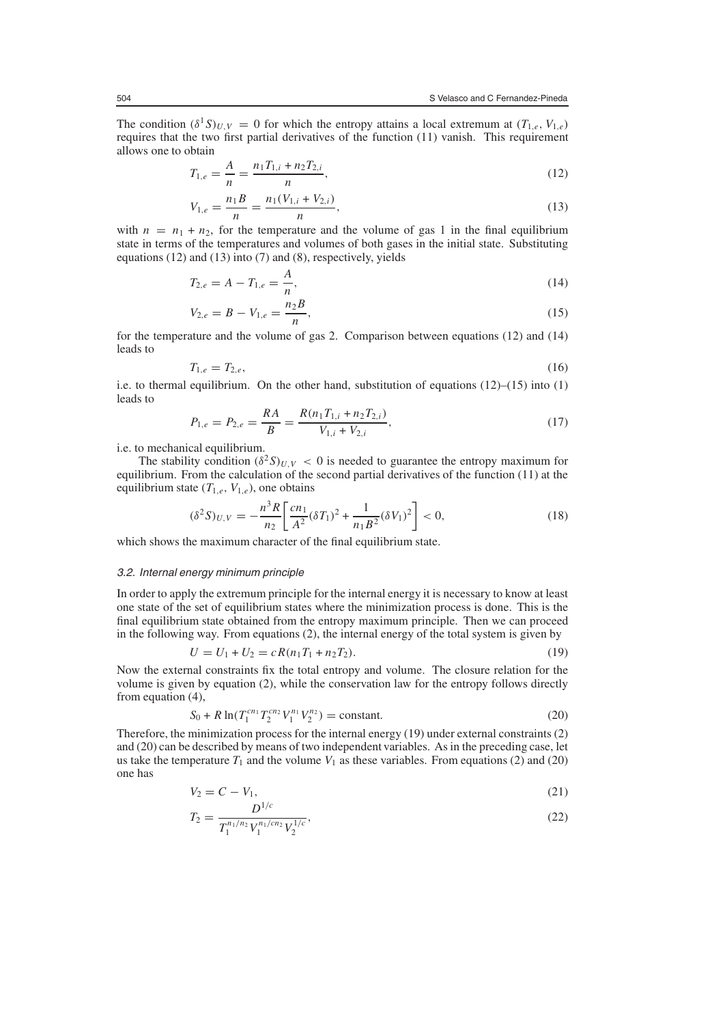The condition  $(\delta^1 S)_{U,V} = 0$  for which the entropy attains a local extremum at  $(T_{1,e}, V_{1,e})$ requires that the two first partial derivatives of the function (11) vanish. This requirement allows one to obtain

$$
T_{1,e} = \frac{A}{n} = \frac{n_1 T_{1,i} + n_2 T_{2,i}}{n},\tag{12}
$$

$$
V_{1,e} = \frac{n_1 B}{n} = \frac{n_1 (V_{1,i} + V_{2,i})}{n},
$$
\n(13)

with  $n = n_1 + n_2$ , for the temperature and the volume of gas 1 in the final equilibrium state in terms of the temperatures and volumes of both gases in the initial state. Substituting equations (12) and (13) into (7) and (8), respectively, yields

$$
T_{2,e} = A - T_{1,e} = \frac{A}{n},\tag{14}
$$

$$
V_{2,e} = B - V_{1,e} = \frac{n_2 B}{n},\tag{15}
$$

for the temperature and the volume of gas 2. Comparison between equations (12) and (14) leads to

$$
T_{1,e} = T_{2,e},\tag{16}
$$

i.e. to thermal equilibrium. On the other hand, substitution of equations  $(12)$ – $(15)$  into  $(1)$ leads to

$$
P_{1,e} = P_{2,e} = \frac{RA}{B} = \frac{R(n_1T_{1,i} + n_2T_{2,i})}{V_{1,i} + V_{2,i}},
$$
\n(17)

i.e. to mechanical equilibrium.

The stability condition  $(\delta^2 S)_{U,V} < 0$  is needed to guarantee the entropy maximum for equilibrium. From the calculation of the second partial derivatives of the function (11) at the equilibrium state  $(T_{1,e}, V_{1,e})$ , one obtains

$$
(\delta^2 S)_{U,V} = -\frac{n^3 R}{n_2} \left[ \frac{cn_1}{A^2} (\delta T_1)^2 + \frac{1}{n_1 B^2} (\delta V_1)^2 \right] < 0,
$$
\n(18)

which shows the maximum character of the final equilibrium state.

#### 3.2. Internal energy minimum principle

In order to apply the extremum principle for the internal energy it is necessary to know at least one state of the set of equilibrium states where the minimization process is done. This is the final equilibrium state obtained from the entropy maximum principle. Then we can proceed in the following way. From equations (2), the internal energy of the total system is given by

$$
U = U_1 + U_2 = cR(n_1T_1 + n_2T_2).
$$
\n(19)

Now the external constraints fix the total entropy and volume. The closure relation for the volume is given by equation (2), while the conservation law for the entropy follows directly from equation (4),

$$
S_0 + R \ln(T_1^{cn_1} T_2^{cn_2} V_1^{n_1} V_2^{n_2}) = \text{constant.}
$$
 (20)

Therefore, the minimization process for the internal energy (19) under external constraints (2) and (20) can be described by means of two independent variables. As in the preceding case, let us take the temperature  $T_1$  and the volume  $V_1$  as these variables. From equations (2) and (20) one has

$$
V_2 = C - V_1,\tag{21}
$$

$$
T_2 = \frac{D^{1/c}}{T_1^{n_1/n_2} V_1^{n_1/cn_2} V_2^{1/c}},\tag{22}
$$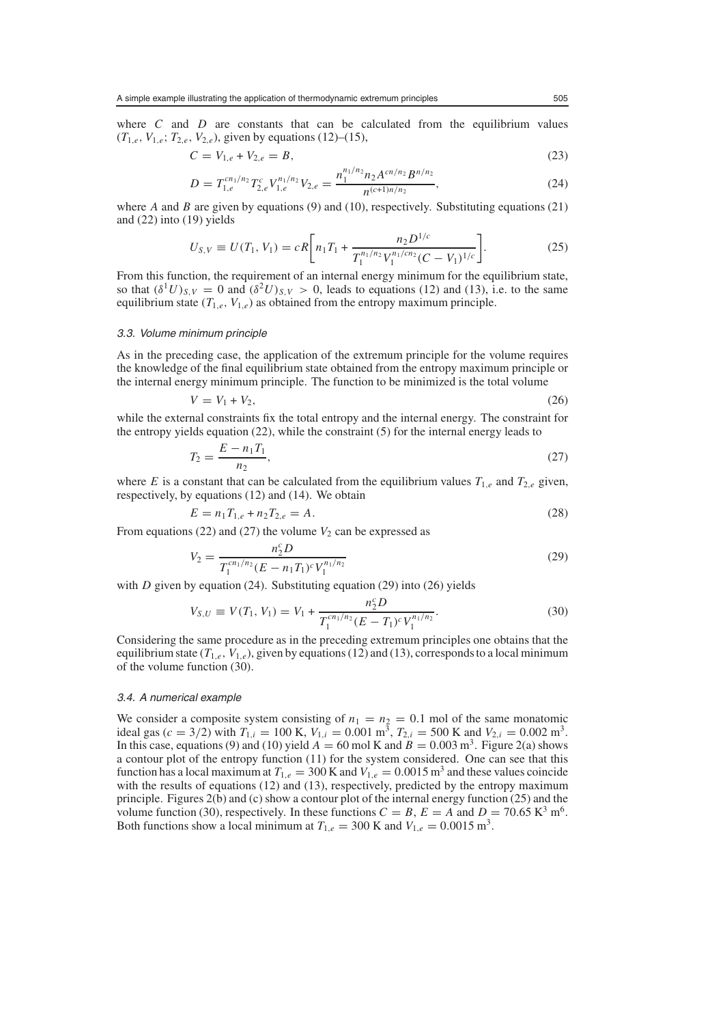where  $C$  and  $D$  are constants that can be calculated from the equilibrium values  $(T_{1,e}, V_{1,e}; T_{2,e}, V_{2,e})$ , given by equations (12)–(15),

$$
C = V_{1,e} + V_{2,e} = B,\t\t(23)
$$

$$
D = T_{1,e}^{cn_1/n_2} T_{2,e}^c V_{1,e}^{n_1/n_2} V_{2,e} = \frac{n_1^{n_1/n_2} n_2 A^{cn/n_2} B^{n/n_2}}{n^{(c+1)n/n_2}},
$$
\n(24)

where *A* and *B* are given by equations (9) and (10), respectively. Substituting equations (21) and (22) into (19) yields

$$
U_{S,V} \equiv U(T_1, V_1) = cR \bigg[ n_1 T_1 + \frac{n_2 D^{1/c}}{T_1^{n_1/n_2} V_1^{n_1/cn_2} (C - V_1)^{1/c}} \bigg].
$$
 (25)

From this function, the requirement of an internal energy minimum for the equilibrium state, so that  $(\delta^1 U)_{S,V} = 0$  and  $(\delta^2 U)_{S,V} > 0$ , leads to equations (12) and (13), i.e. to the same equilibrium state  $(T_{1,e}, V_{1,e})$  as obtained from the entropy maximum principle.

#### 3.3. Volume minimum principle

As in the preceding case, the application of the extremum principle for the volume requires the knowledge of the final equilibrium state obtained from the entropy maximum principle or the internal energy minimum principle. The function to be minimized is the total volume

$$
V = V_1 + V_2,\tag{26}
$$

while the external constraints fix the total entropy and the internal energy. The constraint for the entropy yields equation (22), while the constraint (5) for the internal energy leads to

$$
T_2 = \frac{E - n_1 T_1}{n_2},\tag{27}
$$

where *E* is a constant that can be calculated from the equilibrium values  $T_{1,e}$  and  $T_{2,e}$  given, respectively, by equations (12) and (14). We obtain

$$
E = n_1 T_{1,e} + n_2 T_{2,e} = A.
$$
\n(28)

From equations (22) and (27) the volume  $V_2$  can be expressed as

$$
V_2 = \frac{n_2^c D}{T_1^{cn_1/n_2} (E - n_1 T_1)^c V_1^{n_1/n_2}}
$$
\n(29)

with *D* given by equation (24). Substituting equation (29) into (26) yields

$$
V_{S,U} \equiv V(T_1, V_1) = V_1 + \frac{n_2^c D}{T_1^{cn_1/n_2} (E - T_1)^c V_1^{n_1/n_2}}.
$$
\n(30)

Considering the same procedure as in the preceding extremum principles one obtains that the equilibrium state  $(T_{1,e}, V_{1,e})$ , given by equations (12) and (13), corresponds to a local minimum of the volume function (30).

#### 3.4. A numerical example

We consider a composite system consisting of  $n_1 = n_2 = 0.1$  mol of the same monatomic ideal gas  $(c = 3/2)$  with  $T_{1,i} = 100$  K,  $V_{1,i} = 0.001$  m<sup>3</sup>,  $T_{2,i} = 500$  K and  $V_{2,i} = 0.002$  m<sup>3</sup>. In this case, equations (9) and (10) yield  $A = 60$  mol K and  $B = 0.003$  m<sup>3</sup>. Figure 2(a) shows a contour plot of the entropy function (11) for the system considered. One can see that this function has a local maximum at  $T_{1,e} = 300$  K and  $V_{1,e} = 0.0015$  m<sup>3</sup> and these values coincide with the results of equations (12) and (13), respectively, predicted by the entropy maximum principle. Figures 2(b) and (c) show a contour plot of the internal energy function (25) and the volume function (30), respectively. In these functions  $C = B$ ,  $E = A$  and  $D = 70.65 \text{ K}^3 \text{ m}^6$ . Both functions show a local minimum at  $T_{1,e} = 300$  K and  $V_{1,e} = 0.0015$  m<sup>3</sup>.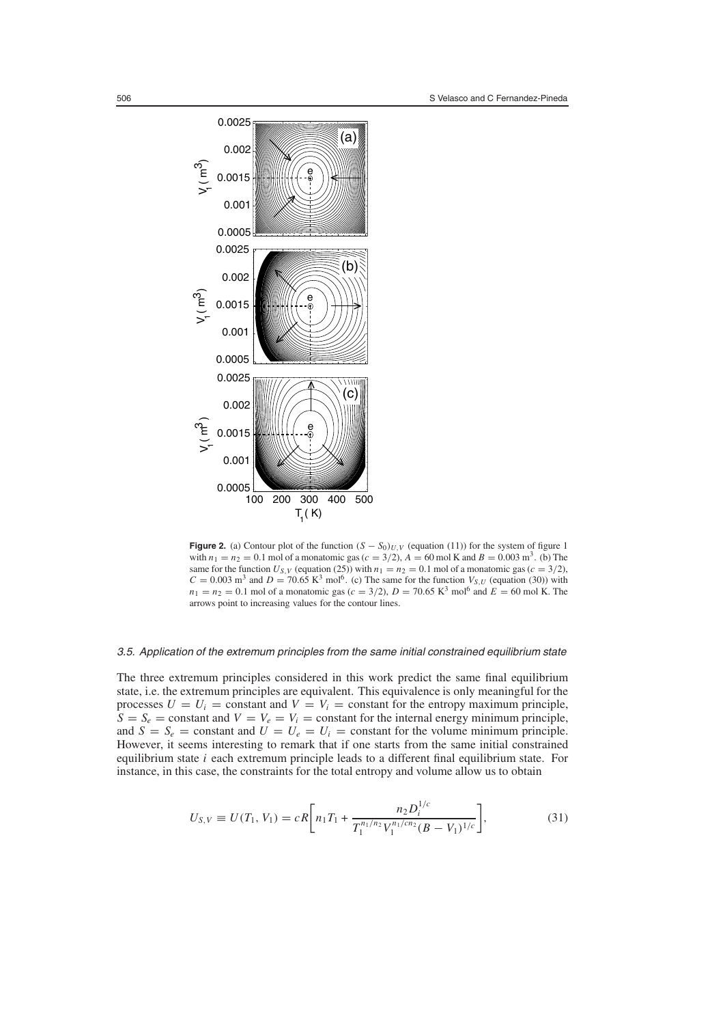

**Figure 2.** (a) Contour plot of the function  $(S - S_0)_{U,V}$  (equation (11)) for the system of figure 1 with  $n_1 = n_2 = 0.1$  mol of a monatomic gas ( $c = 3/2$ ),  $A = 60$  mol K and  $B = 0.003$  m<sup>3</sup>. (b) The same for the function  $U_{S,V}$  (equation (25)) with  $n_1 = n_2 = 0.1$  mol of a monatomic gas ( $c = 3/2$ ),  $C = 0.003$  m<sup>3</sup> and  $D = 70.65$  K<sup>3</sup> mol<sup>6</sup>. (c) The same for the function  $V_{S,U}$  (equation (30)) with  $n_1 = n_2 = 0.1$  mol of a monatomic gas ( $c = 3/2$ ),  $D = 70.65$  K<sup>3</sup> mol<sup>6</sup> and  $E = 60$  mol K. The arrows point to increasing values for the contour lines.

#### 3.5. Application of the extremum principles from the same initial constrained equilibrium state

The three extremum principles considered in this work predict the same final equilibrium state, i.e. the extremum principles are equivalent. This equivalence is only meaningful for the processes  $U = U_i$  = constant and  $V = V_i$  = constant for the entropy maximum principle,  $S = S_e$  = constant and  $V = V_e = V_i$  = constant for the internal energy minimum principle, and  $S = S_e$  = constant and  $U = U_e = U_i$  = constant for the volume minimum principle. However, it seems interesting to remark that if one starts from the same initial constrained equilibrium state *i* each extremum principle leads to a different final equilibrium state. For instance, in this case, the constraints for the total entropy and volume allow us to obtain

$$
U_{S,V} \equiv U(T_1, V_1) = cR \bigg[ n_1 T_1 + \frac{n_2 D_i^{1/c}}{T_1^{n_1/n_2} V_1^{n_1/c n_2} (B - V_1)^{1/c}} \bigg],\tag{31}
$$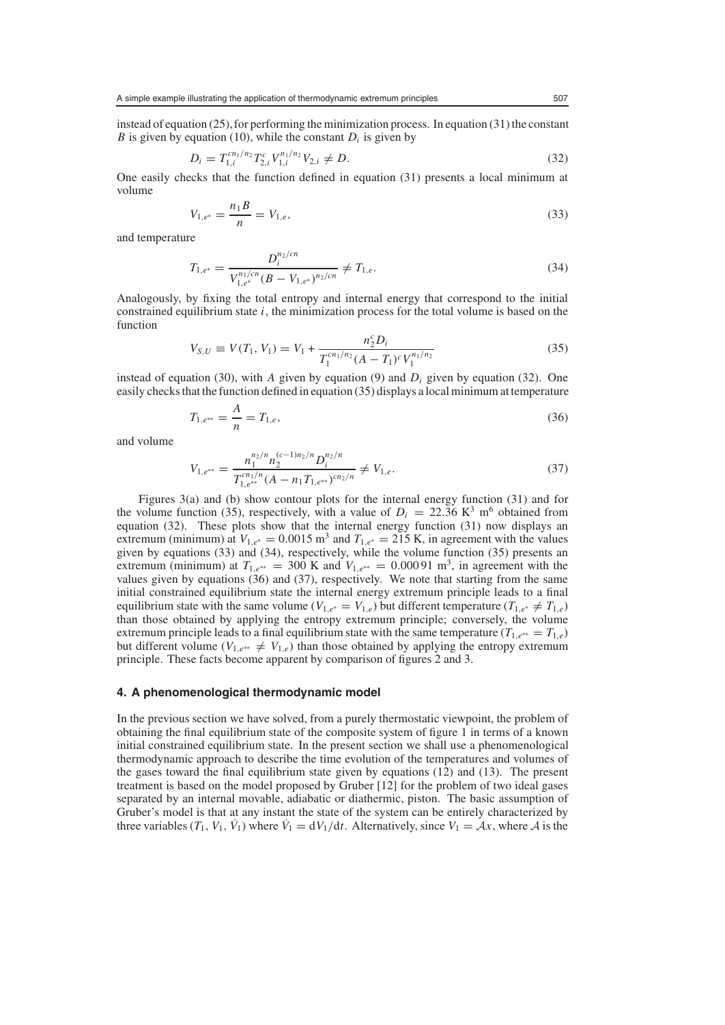instead of equation  $(25)$ , for performing the minimization process. In equation  $(31)$  the constant *B* is given by equation (10), while the constant  $D_i$  is given by

$$
D_i = T_{1,i}^{cn_1/n_2} T_{2,i}^c V_{1,i}^{n_1/n_2} V_{2,i} \neq D.
$$
\n(32)

One easily checks that the function defined in equation (31) presents a local minimum at volume

$$
V_{1,e^*} = \frac{n_1 B}{n} = V_{1,e},\tag{33}
$$

and temperature

$$
T_{1,e^*} = \frac{D_i^{n_2/cn}}{V_{1,e^*}^{n_1/cn} (B - V_{1,e^*})^{n_2/cn}} \neq T_{1,e}.
$$
\n(34)

Analogously, by fixing the total entropy and internal energy that correspond to the initial constrained equilibrium state *i*, the minimization process for the total volume is based on the function

$$
V_{S,U} \equiv V(T_1, V_1) = V_1 + \frac{n_2^c D_i}{T_1^{cn_1/n_2} (A - T_1)^c V_1^{n_1/n_2}}
$$
(35)

instead of equation (30), with *A* given by equation (9) and  $D_i$  given by equation (32). One easily checks that the function defined in equation (35) displays a local minimum at temperature

$$
T_{1,e^{**}} = \frac{A}{n} = T_{1,e},\tag{36}
$$

and volume

$$
V_{1,e^{**}} = \frac{n_1^{n_2/n} n_2^{(c-1)n_2/n} D_i^{n_2/n}}{T_{1,e^{**}}^{cn_1/n} (A - n_1 T_{1,e^{**}})^{cn_2/n}} \neq V_{1,e}.
$$
\n(37)

Figures 3(a) and (b) show contour plots for the internal energy function (31) and for the volume function (35), respectively, with a value of  $D_i = 22.36 \text{ K}^3 \text{ m}^6$  obtained from equation (32). These plots show that the internal energy function (31) now displays an extremum (minimum) at  $V_{1,e^*} = 0.0015$  m<sup>3</sup> and  $T_{1,e^*} = 215$  K, in agreement with the values given by equations (33) and (34), respectively, while the volume function (35) presents an extremum (minimum) at  $T_{1,e^{**}} = 300$  K and  $V_{1,e^{**}} = 0.00091$  m<sup>3</sup>, in agreement with the values given by equations  $(36)$  and  $(37)$ , respectively. We note that starting from the same initial constrained equilibrium state the internal energy extremum principle leads to a final equilibrium state with the same volume ( $V_{1,e^*} = V_{1,e}$ ) but different temperature ( $T_{1,e^*} \neq T_{1,e}$ ) than those obtained by applying the entropy extremum principle; conversely, the volume extremum principle leads to a final equilibrium state with the same temperature ( $T_{1,e^{**}} = T_{1,e}$ ) but different volume ( $V_{1,e^{**}} \neq V_{1,e}$ ) than those obtained by applying the entropy extremum principle. These facts become apparent by comparison of figures 2 and 3.

#### **4. A phenomenological thermodynamic model**

In the previous section we have solved, from a purely thermostatic viewpoint, the problem of obtaining the final equilibrium state of the composite system of figure 1 in terms of a known initial constrained equilibrium state. In the present section we shall use a phenomenological thermodynamic approach to describe the time evolution of the temperatures and volumes of the gases toward the final equilibrium state given by equations (12) and (13). The present treatment is based on the model proposed by Gruber [12] for the problem of two ideal gases separated by an internal movable, adiabatic or diathermic, piston. The basic assumption of Gruber's model is that at any instant the state of the system can be entirely characterized by three variables  $(T_1, V_1, V_1)$  where  $\dot{V}_1 = dV_1/dt$ . Alternatively, since  $V_1 = Ax$ , where *A* is the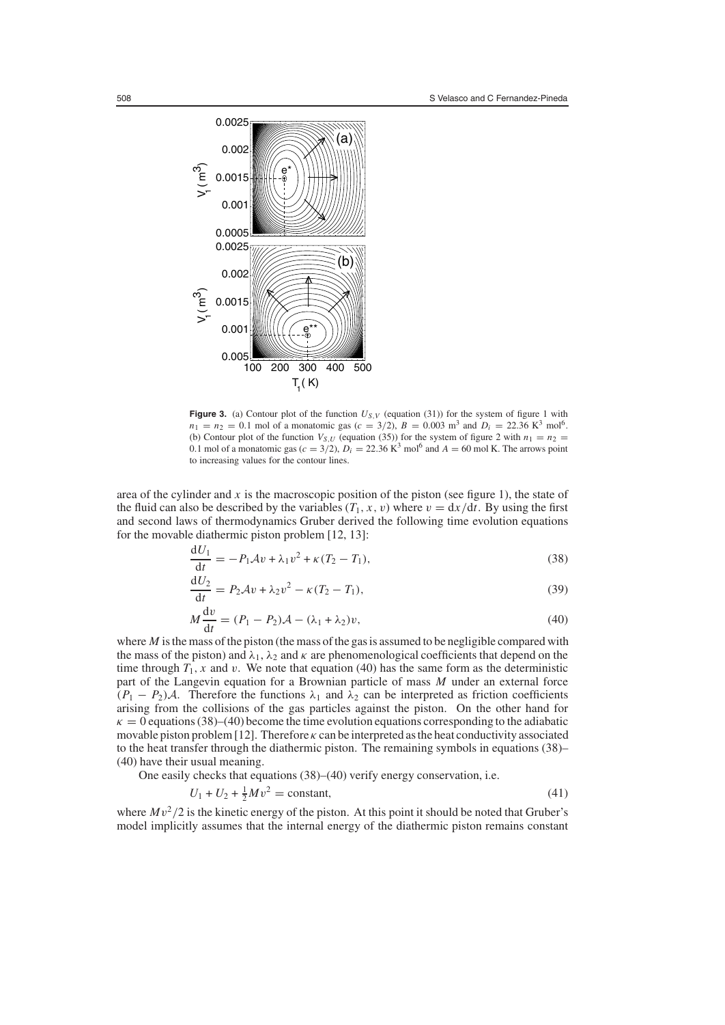

**Figure 3.** (a) Contour plot of the function  $U_{S,V}$  (equation (31)) for the system of figure 1 with  $n_1 = n_2 = 0.1$  mol of a monatomic gas ( $c = 3/2$ ),  $B = 0.003$  m<sup>3</sup> and  $D_i = 22.36$  K<sup>3</sup> mol<sup>6</sup>. (b) Contour plot of the function  $V_{S,U}$  (equation (35)) for the system of figure 2 with  $n_1 = n_2$ 0.1 mol of a monatomic gas ( $c = 3/2$ ),  $D_i = 22.36 \text{ K}^3 \text{ mol}^6$  and  $A = 60 \text{ mol K}$ . The arrows point to increasing values for the contour lines.

area of the cylinder and  $x$  is the macroscopic position of the piston (see figure 1), the state of the fluid can also be described by the variables  $(T_1, x, v)$  where  $v = dx/dt$ . By using the first and second laws of thermodynamics Gruber derived the following time evolution equations for the movable diathermic piston problem [12, 13]:

$$
\frac{dU_1}{dt} = -P_1Av + \lambda_1 v^2 + \kappa (T_2 - T_1),
$$
\n(38)

$$
\frac{\mathrm{d}U_2}{\mathrm{d}t} = P_2 \mathcal{A}v + \lambda_2 v^2 - \kappa (T_2 - T_1),\tag{39}
$$

$$
M\frac{\mathrm{d}v}{\mathrm{d}t} = (P_1 - P_2)\mathcal{A} - (\lambda_1 + \lambda_2)v,\tag{40}
$$

where *M* is the mass of the piston (the mass of the gas is assumed to be negligible compared with the mass of the piston) and  $\lambda_1$ ,  $\lambda_2$  and  $\kappa$  are phenomenological coefficients that depend on the time through  $T_1$ , *x* and *v*. We note that equation (40) has the same form as the deterministic part of the Langevin equation for a Brownian particle of mass *M* under an external force  $(P_1 - P_2)\mathcal{A}$ . Therefore the functions  $\lambda_1$  and  $\lambda_2$  can be interpreted as friction coefficients arising from the collisions of the gas particles against the piston. On the other hand for  $\kappa = 0$  equations (38)–(40) become the time evolution equations corresponding to the adiabatic movable piston problem [12]. Therefore  $\kappa$  can be interpreted as the heat conductivity associated to the heat transfer through the diathermic piston. The remaining symbols in equations (38)– (40) have their usual meaning.

One easily checks that equations (38)–(40) verify energy conservation, i.e.

$$
U_1 + U_2 + \frac{1}{2}Mv^2 = \text{constant},\tag{41}
$$

where  $Mv^2/2$  is the kinetic energy of the piston. At this point it should be noted that Gruber's model implicitly assumes that the internal energy of the diathermic piston remains constant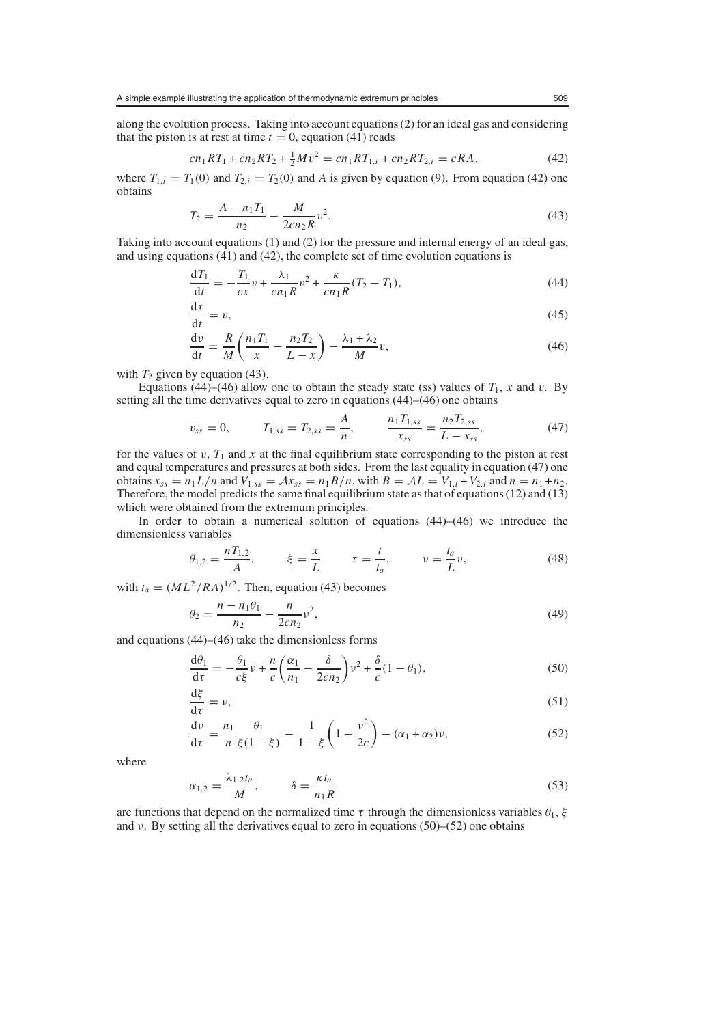along the evolution process. Taking into account equations (2) for an ideal gas and considering that the piston is at rest at time  $t = 0$ , equation (41) reads

$$
cn_1RT_1 + cn_2RT_2 + \frac{1}{2}Mv^2 = cn_1RT_{1,i} + cn_2RT_{2,i} = cRA,
$$
\n(42)

where  $T_{1,i} = T_1(0)$  and  $T_{2,i} = T_2(0)$  and A is given by equation (9). From equation (42) one obtains

$$
T_2 = \frac{A - n_1 T_1}{n_2} - \frac{M}{2cn_2 R} v^2.
$$
\n(43)

Taking into account equations (1) and (2) for the pressure and internal energy of an ideal gas, and using equations (41) and (42), the complete set of time evolution equations is

$$
\frac{dT_1}{dt} = -\frac{T_1}{cx}v + \frac{\lambda_1}{cn_1R}v^2 + \frac{\kappa}{cn_1R}(T_2 - T_1),\tag{44}
$$

$$
\frac{\mathrm{d}x}{\mathrm{d}t} = v,\tag{45}
$$

$$
\frac{\mathrm{d}v}{\mathrm{d}t} = \frac{R}{M} \left( \frac{n_1 T_1}{x} - \frac{n_2 T_2}{L - x} \right) - \frac{\lambda_1 + \lambda_2}{M} v,\tag{46}
$$

with  $T_2$  given by equation (43).

Equations (44)–(46) allow one to obtain the steady state (ss) values of  $T_1$ , x and v. By setting all the time derivatives equal to zero in equations (44)–(46) one obtains

$$
v_{ss} = 0, \qquad T_{1,ss} = T_{2,ss} = \frac{A}{n}, \qquad \frac{n_1 T_{1,ss}}{x_{ss}} = \frac{n_2 T_{2,ss}}{L - x_{ss}}, \tag{47}
$$

for the values of v,  $T_1$  and x at the final equilibrium state corresponding to the piston at rest and equal temperatures and pressures at both sides. From the last equality in equation (47) one obtains  $x_{ss} = n_1 L/n$  and  $V_{1,ss} = Ax_{ss} = n_1 B/n$ , with  $B = AL = V_{1,i} + V_{2,i}$  and  $n = n_1 + n_2$ . Therefore, the model predicts the same final equilibrium state as that of equations (12) and (13) which were obtained from the extremum principles.

In order to obtain a numerical solution of equations (44)–(46) we introduce the dimensionless variables

$$
\theta_{1,2} = \frac{nT_{1,2}}{A}, \qquad \xi = \frac{x}{L} \qquad \tau = \frac{t}{t_a}, \qquad \nu = \frac{t_a}{L}v,
$$
\n(48)

with  $t_a = (ML^2/RA)^{1/2}$ . Then, equation (43) becomes

$$
\theta_2 = \frac{n - n_1 \theta_1}{n_2} - \frac{n}{2cn_2} \nu^2,\tag{49}
$$

and equations (44)–(46) take the dimensionless forms

$$
\frac{d\theta_1}{d\tau} = -\frac{\theta_1}{c\xi}\nu + \frac{n}{c}\left(\frac{\alpha_1}{n_1} - \frac{\delta}{2cn_2}\right)\nu^2 + \frac{\delta}{c}(1-\theta_1),\tag{50}
$$

$$
\frac{\mathrm{d}\xi}{\mathrm{d}\tau} = \nu,\tag{51}
$$

$$
\frac{dv}{d\tau} = \frac{n_1}{n} \frac{\theta_1}{\xi(1-\xi)} - \frac{1}{1-\xi} \left(1 - \frac{v^2}{2c}\right) - (\alpha_1 + \alpha_2)v,\tag{52}
$$

where

$$
\alpha_{1,2} = \frac{\lambda_{1,2} t_a}{M}, \qquad \delta = \frac{\kappa t_a}{n_1 R} \tag{53}
$$

are functions that depend on the normalized time  $\tau$  through the dimensionless variables  $\theta_1$ ,  $\xi$ and  $\nu$ . By setting all the derivatives equal to zero in equations (50)–(52) one obtains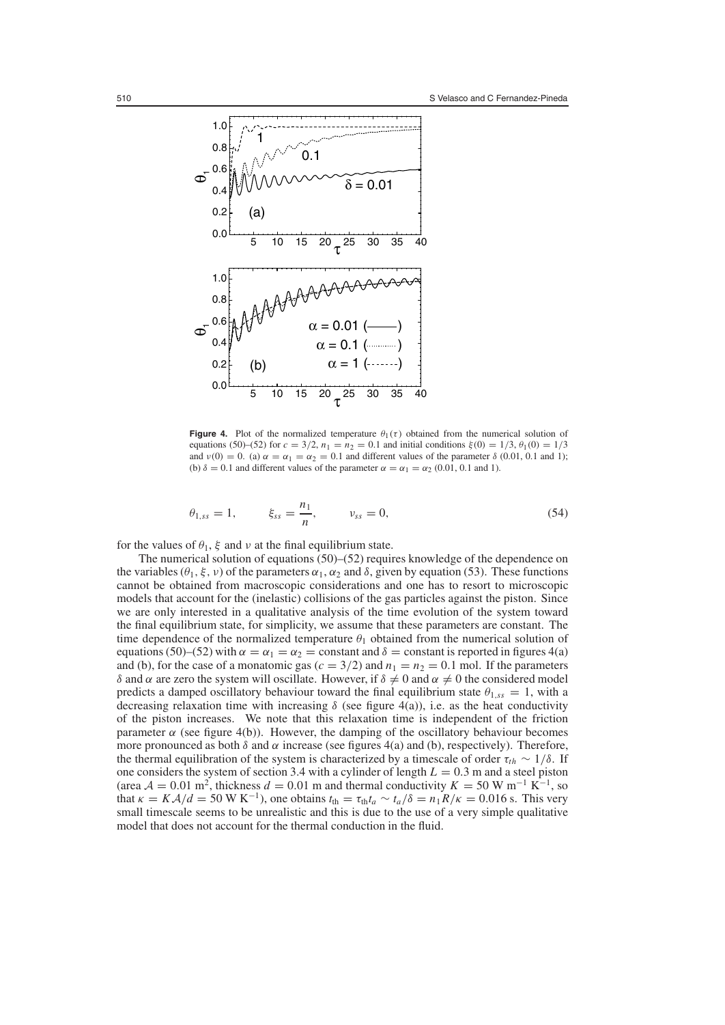

**Figure 4.** Plot of the normalized temperature  $\theta_1(\tau)$  obtained from the numerical solution of equations (50)–(52) for  $c = 3/2$ ,  $n_1 = n_2 = 0.1$  and initial conditions  $\xi(0) = 1/3$ ,  $\theta_1(0) = 1/3$ and  $v(0) = 0$ . (a)  $\alpha = \alpha_1 = \alpha_2 = 0.1$  and different values of the parameter  $\delta$  (0.01, 0.1 and 1); (b)  $\delta = 0.1$  and different values of the parameter  $\alpha = \alpha_1 = \alpha_2 (0.01, 0.1$  and 1).

$$
\theta_{1,ss} = 1, \qquad \xi_{ss} = \frac{n_1}{n}, \qquad \nu_{ss} = 0,
$$
\n(54)

for the values of  $\theta_1$ ,  $\xi$  and  $\nu$  at the final equilibrium state.

The numerical solution of equations (50)–(52) requires knowledge of the dependence on the variables  $(\theta_1, \xi, \nu)$  of the parameters  $\alpha_1, \alpha_2$  and  $\delta$ , given by equation (53). These functions cannot be obtained from macroscopic considerations and one has to resort to microscopic models that account for the (inelastic) collisions of the gas particles against the piston. Since we are only interested in a qualitative analysis of the time evolution of the system toward the final equilibrium state, for simplicity, we assume that these parameters are constant. The time dependence of the normalized temperature  $\theta_1$  obtained from the numerical solution of equations (50)–(52) with  $\alpha = \alpha_1 = \alpha_2$  = constant and  $\delta$  = constant is reported in figures 4(a) and (b), for the case of a monatomic gas ( $c = 3/2$ ) and  $n_1 = n_2 = 0.1$  mol. If the parameters δ and α are zero the system will oscillate. However, if  $\delta \neq 0$  and  $\alpha \neq 0$  the considered model predicts a damped oscillatory behaviour toward the final equilibrium state  $\theta_{1,ss} = 1$ , with a decreasing relaxation time with increasing  $\delta$  (see figure 4(a)), i.e. as the heat conductivity of the piston increases. We note that this relaxation time is independent of the friction parameter  $\alpha$  (see figure 4(b)). However, the damping of the oscillatory behaviour becomes more pronounced as both  $\delta$  and  $\alpha$  increase (see figures 4(a) and (b), respectively). Therefore, the thermal equilibration of the system is characterized by a timescale of order  $\tau_{th} \sim 1/\delta$ . If one considers the system of section 3.4 with a cylinder of length  $L = 0.3$  m and a steel piston (area  $A = 0.01$  m<sup>2</sup>, thickness  $d = 0.01$  m and thermal conductivity  $K = 50$  W m<sup>-1</sup> K<sup>-1</sup>, so that  $\kappa = K\lambda/d = 50 \text{ W K}^{-1}$ , one obtains  $t_{\text{th}} = \tau_{\text{th}}t_a \sim t_a/\delta = n_1R/\kappa = 0.016 \text{ s}$ . This very small timescale seems to be unrealistic and this is due to the use of a very simple qualitative model that does not account for the thermal conduction in the fluid.